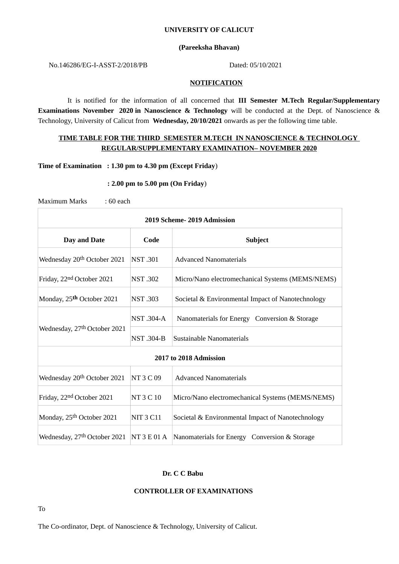# **UNIVERSITY OF CALICUT**

# **(Pareeksha Bhavan)**

# No.146286/EG-I-ASST-2/2018/PB Dated: 05/10/2021

## **NOTIFICATION**

It is notified for the information of all concerned that **III Semester M.Tech Regular/Supplementary Examinations November 2020 in Nanoscience & Technology** will be conducted at the Dept. of Nanoscience & Technology, University of Calicut from **Wednesday, 20/10/2021** onwards as per the following time table.

# **TIME TABLE FOR THE THIRD SEMESTER M.TECH IN NANOSCIENCE & TECHNOLOGY REGULAR/SUPPLEMENTARY EXAMINATION– NOVEMBER 2020**

## **Time of Examination : 1.30 pm to 4.30 pm (Except Friday**)

### **: 2.00 pm to 5.00 pm (On Friday**)

Maximum Marks : 60 each

| 2019 Scheme-2019 Admission                 |                  |                                                   |
|--------------------------------------------|------------------|---------------------------------------------------|
| Day and Date                               | Code             | <b>Subject</b>                                    |
| Wednesday 20 <sup>th</sup> October 2021    | <b>NST.301</b>   | <b>Advanced Nanomaterials</b>                     |
| Friday, 22 <sup>nd</sup> October 2021      | <b>NST.302</b>   | Micro/Nano electromechanical Systems (MEMS/NEMS)  |
| Monday, 25 <sup>th</sup> October 2021      | <b>NST.303</b>   | Societal & Environmental Impact of Nanotechnology |
| Wednesday, 27th October 2021               | <b>NST.304-A</b> | Nanomaterials for Energy Conversion & Storage     |
|                                            | NST .304-B       | Sustainable Nanomaterials                         |
| 2017 to 2018 Admission                     |                  |                                                   |
| Wednesday 20 <sup>th</sup> October 2021    | NT 3 C 09        | <b>Advanced Nanomaterials</b>                     |
| Friday, 22 <sup>nd</sup> October 2021      | NT 3 C 10        | Micro/Nano electromechanical Systems (MEMS/NEMS)  |
| Monday, 25 <sup>th</sup> October 2021      | <b>NIT 3 C11</b> | Societal & Environmental Impact of Nanotechnology |
| Wednesday, $27th$ October 2021 NT 3 E 01 A |                  | Nanomaterials for Energy Conversion & Storage     |

# **Dr. C C Babu**

#### **CONTROLLER OF EXAMINATIONS**

To

The Co-ordinator, Dept. of Nanoscience & Technology, University of Calicut.